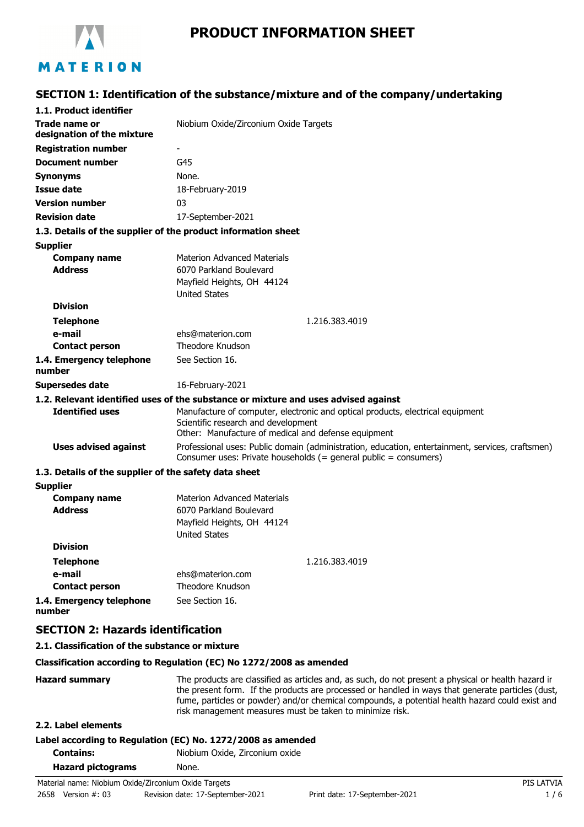

# **PRODUCT INFORMATION SHEET**

# **SECTION 1: Identification of the substance/mixture and of the company/undertaking**

| 1.1. Product identifier                                       |                                                                                                                                                                              |  |
|---------------------------------------------------------------|------------------------------------------------------------------------------------------------------------------------------------------------------------------------------|--|
| <b>Trade name or</b><br>designation of the mixture            | Niobium Oxide/Zirconium Oxide Targets                                                                                                                                        |  |
| <b>Registration number</b>                                    | -                                                                                                                                                                            |  |
| <b>Document number</b>                                        | G45                                                                                                                                                                          |  |
| <b>Synonyms</b>                                               | None.                                                                                                                                                                        |  |
| <b>Issue date</b>                                             | 18-February-2019                                                                                                                                                             |  |
| <b>Version number</b>                                         | 03                                                                                                                                                                           |  |
| <b>Revision date</b>                                          | 17-September-2021                                                                                                                                                            |  |
| 1.3. Details of the supplier of the product information sheet |                                                                                                                                                                              |  |
| <b>Supplier</b>                                               |                                                                                                                                                                              |  |
| <b>Company name</b>                                           | <b>Materion Advanced Materials</b>                                                                                                                                           |  |
| <b>Address</b>                                                | 6070 Parkland Boulevard                                                                                                                                                      |  |
|                                                               | Mayfield Heights, OH 44124                                                                                                                                                   |  |
|                                                               | <b>United States</b>                                                                                                                                                         |  |
| <b>Division</b>                                               |                                                                                                                                                                              |  |
| <b>Telephone</b>                                              | 1.216.383.4019                                                                                                                                                               |  |
| e-mail                                                        | ehs@materion.com                                                                                                                                                             |  |
| <b>Contact person</b>                                         | Theodore Knudson                                                                                                                                                             |  |
| 1.4. Emergency telephone<br>number                            | See Section 16.                                                                                                                                                              |  |
| <b>Supersedes date</b>                                        | 16-February-2021                                                                                                                                                             |  |
|                                                               | 1.2. Relevant identified uses of the substance or mixture and uses advised against                                                                                           |  |
| <b>Identified uses</b>                                        | Manufacture of computer, electronic and optical products, electrical equipment<br>Scientific research and development<br>Other: Manufacture of medical and defense equipment |  |
| <b>Uses advised against</b>                                   | Professional uses: Public domain (administration, education, entertainment, services, craftsmen)<br>Consumer uses: Private households (= general public = consumers)         |  |
| 1.3. Details of the supplier of the safety data sheet         |                                                                                                                                                                              |  |
| <b>Supplier</b>                                               |                                                                                                                                                                              |  |
| <b>Company name</b>                                           | <b>Materion Advanced Materials</b>                                                                                                                                           |  |
| <b>Address</b>                                                | 6070 Parkland Boulevard                                                                                                                                                      |  |
|                                                               | Mayfield Heights, OH 44124                                                                                                                                                   |  |
|                                                               | <b>United States</b>                                                                                                                                                         |  |
| <b>Division</b>                                               |                                                                                                                                                                              |  |
| <b>Telephone</b>                                              | 1.216.383.4019                                                                                                                                                               |  |
| e-mail                                                        | ehs@materion.com                                                                                                                                                             |  |
| <b>Contact person</b>                                         | Theodore Knudson                                                                                                                                                             |  |
| 1.4. Emergency telephone<br>number                            | See Section 16.                                                                                                                                                              |  |
| <b>SECTION 2: Hazards identification</b>                      |                                                                                                                                                                              |  |

#### **2.1. Classification of the substance or mixture**

#### **Classification according to Regulation (EC) No 1272/2008 as amended**

Hazard summary The products are classified as articles and, as such, do not present a physical or health hazard in the present form. If the products are processed or handled in ways that generate particles (dust, fume, particles or powder) and/or chemical compounds, a potential health hazard could exist and risk management measures must be taken to minimize risk.

### **2.2. Label elements**

# **Label according to Regulation (EC) No. 1272/2008 as amended**

**Contains:** Niobium Oxide, Zirconium oxide

| <b>Hazard pictograms</b> | None. |
|--------------------------|-------|
|                          |       |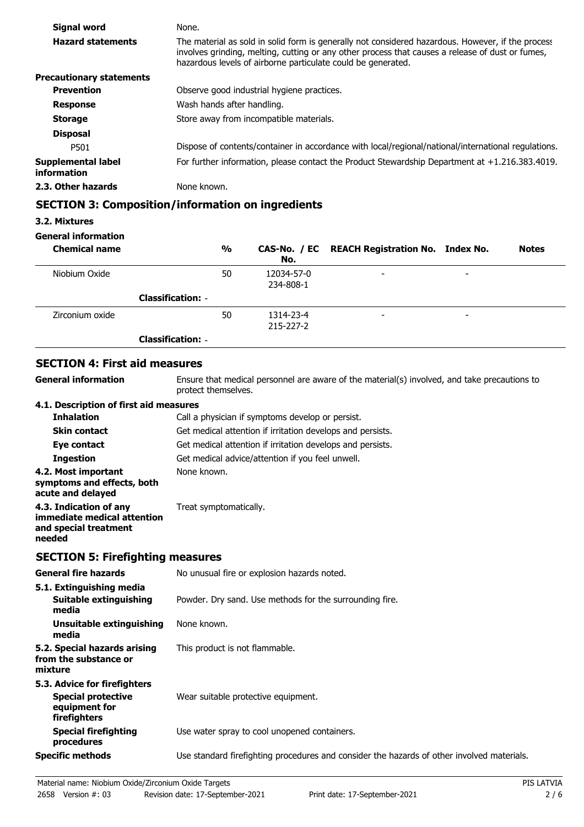| Signal word                       | None.                                                                                                                                                                                                                                                                 |
|-----------------------------------|-----------------------------------------------------------------------------------------------------------------------------------------------------------------------------------------------------------------------------------------------------------------------|
| <b>Hazard statements</b>          | The material as sold in solid form is generally not considered hazardous. However, if the process<br>involves grinding, melting, cutting or any other process that causes a release of dust or fumes,<br>hazardous levels of airborne particulate could be generated. |
| <b>Precautionary statements</b>   |                                                                                                                                                                                                                                                                       |
| <b>Prevention</b>                 | Observe good industrial hygiene practices.                                                                                                                                                                                                                            |
| <b>Response</b>                   | Wash hands after handling.                                                                                                                                                                                                                                            |
| <b>Storage</b>                    | Store away from incompatible materials.                                                                                                                                                                                                                               |
| <b>Disposal</b>                   |                                                                                                                                                                                                                                                                       |
| P501                              | Dispose of contents/container in accordance with local/regional/national/international regulations.                                                                                                                                                                   |
| Supplemental label<br>information | For further information, please contact the Product Stewardship Department at +1.216.383.4019.                                                                                                                                                                        |
| 2.3. Other hazards                | None known.                                                                                                                                                                                                                                                           |

### **SECTION 3: Composition/information on ingredients**

### **3.2. Mixtures**

### **General information**

| <b>Chemical name</b> |                          | $\frac{0}{0}$ | No.                     | CAS-No. / EC REACH Registration No. Index No. |   | <b>Notes</b> |
|----------------------|--------------------------|---------------|-------------------------|-----------------------------------------------|---|--------------|
| Niobium Oxide        |                          | 50            | 12034-57-0<br>234-808-1 | $\overline{\phantom{a}}$                      | - |              |
|                      | <b>Classification: -</b> |               |                         |                                               |   |              |
| Zirconium oxide      |                          | 50            | 1314-23-4<br>215-227-2  | $\overline{\phantom{a}}$                      | - |              |
|                      | <b>Classification: -</b> |               |                         |                                               |   |              |

# **SECTION 4: First aid measures**

**General information**

Ensure that medical personnel are aware of the material(s) involved, and take precautions to protect themselves.

### **4.1. Description of first aid measures**

| <b>Inhalation</b>                                                                        | Call a physician if symptoms develop or persist.           |
|------------------------------------------------------------------------------------------|------------------------------------------------------------|
| <b>Skin contact</b>                                                                      | Get medical attention if irritation develops and persists. |
| Eye contact                                                                              | Get medical attention if irritation develops and persists. |
| <b>Ingestion</b>                                                                         | Get medical advice/attention if you feel unwell.           |
| 4.2. Most important<br>symptoms and effects, both<br>acute and delayed                   | None known.                                                |
| 4.3. Indication of any<br>immediate medical attention<br>and special treatment<br>needed | Treat symptomatically.                                     |

### **SECTION 5: Firefighting measures**

| <b>General fire hazards</b>                                                                | No unusual fire or explosion hazards noted.                                                |
|--------------------------------------------------------------------------------------------|--------------------------------------------------------------------------------------------|
| 5.1. Extinguishing media<br>Suitable extinguishing<br>media                                | Powder. Dry sand. Use methods for the surrounding fire.                                    |
| Unsuitable extinguishing<br>media                                                          | None known.                                                                                |
| 5.2. Special hazards arising<br>from the substance or<br>mixture                           | This product is not flammable.                                                             |
| 5.3. Advice for firefighters<br><b>Special protective</b><br>equipment for<br>firefighters | Wear suitable protective equipment.                                                        |
| <b>Special firefighting</b><br>procedures                                                  | Use water spray to cool unopened containers.                                               |
| <b>Specific methods</b>                                                                    | Use standard firefighting procedures and consider the hazards of other involved materials. |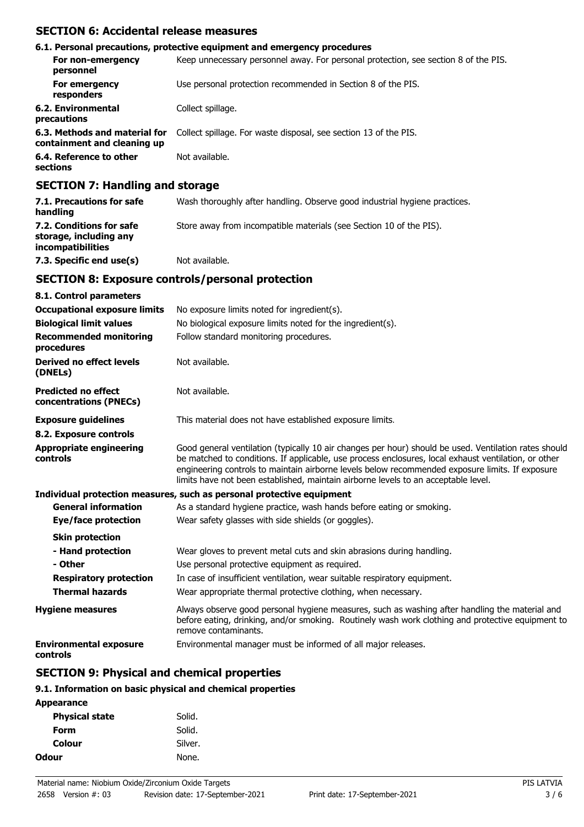### **SECTION 6: Accidental release measures**

|                                                              | 6.1. Personal precautions, protective equipment and emergency procedures            |
|--------------------------------------------------------------|-------------------------------------------------------------------------------------|
| For non-emergency<br>personnel                               | Keep unnecessary personnel away. For personal protection, see section 8 of the PIS. |
| For emergency<br>responders                                  | Use personal protection recommended in Section 8 of the PIS.                        |
| 6.2. Environmental<br>precautions                            | Collect spillage.                                                                   |
| 6.3. Methods and material for<br>containment and cleaning up | Collect spillage. For waste disposal, see section 13 of the PIS.                    |
| 6.4. Reference to other<br>sections                          | Not available.                                                                      |

### **SECTION 7: Handling and storage**

| 7.1. Precautions for safe<br>handling                                   | Wash thoroughly after handling. Observe good industrial hygiene practices. |
|-------------------------------------------------------------------------|----------------------------------------------------------------------------|
| 7.2. Conditions for safe<br>storage, including any<br>incompatibilities | Store away from incompatible materials (see Section 10 of the PIS).        |
| 7.3. Specific end use(s)                                                | Not available.                                                             |

# **SECTION 8: Exposure controls/personal protection**

| 8.1. Control parameters                              |                                                                                                                                                                                                                                                                                                                                                                                                        |
|------------------------------------------------------|--------------------------------------------------------------------------------------------------------------------------------------------------------------------------------------------------------------------------------------------------------------------------------------------------------------------------------------------------------------------------------------------------------|
| <b>Occupational exposure limits</b>                  | No exposure limits noted for ingredient(s).                                                                                                                                                                                                                                                                                                                                                            |
| <b>Biological limit values</b>                       | No biological exposure limits noted for the ingredient(s).                                                                                                                                                                                                                                                                                                                                             |
| <b>Recommended monitoring</b><br>procedures          | Follow standard monitoring procedures.                                                                                                                                                                                                                                                                                                                                                                 |
| Derived no effect levels<br>(DNELs)                  | Not available.                                                                                                                                                                                                                                                                                                                                                                                         |
| <b>Predicted no effect</b><br>concentrations (PNECs) | Not available.                                                                                                                                                                                                                                                                                                                                                                                         |
| <b>Exposure guidelines</b>                           | This material does not have established exposure limits.                                                                                                                                                                                                                                                                                                                                               |
| 8.2. Exposure controls                               |                                                                                                                                                                                                                                                                                                                                                                                                        |
| <b>Appropriate engineering</b><br>controls           | Good general ventilation (typically 10 air changes per hour) should be used. Ventilation rates should<br>be matched to conditions. If applicable, use process enclosures, local exhaust ventilation, or other<br>engineering controls to maintain airborne levels below recommended exposure limits. If exposure<br>limits have not been established, maintain airborne levels to an acceptable level. |
|                                                      | Individual protection measures, such as personal protective equipment                                                                                                                                                                                                                                                                                                                                  |
| <b>General information</b>                           | As a standard hygiene practice, wash hands before eating or smoking.                                                                                                                                                                                                                                                                                                                                   |
| Eye/face protection                                  | Wear safety glasses with side shields (or goggles).                                                                                                                                                                                                                                                                                                                                                    |
| <b>Skin protection</b>                               |                                                                                                                                                                                                                                                                                                                                                                                                        |
| - Hand protection                                    | Wear gloves to prevent metal cuts and skin abrasions during handling.                                                                                                                                                                                                                                                                                                                                  |
| - Other                                              | Use personal protective equipment as required.                                                                                                                                                                                                                                                                                                                                                         |
| <b>Respiratory protection</b>                        | In case of insufficient ventilation, wear suitable respiratory equipment.                                                                                                                                                                                                                                                                                                                              |
| <b>Thermal hazards</b>                               | Wear appropriate thermal protective clothing, when necessary.                                                                                                                                                                                                                                                                                                                                          |
| <b>Hygiene measures</b>                              | Always observe good personal hygiene measures, such as washing after handling the material and<br>before eating, drinking, and/or smoking. Routinely wash work clothing and protective equipment to<br>remove contaminants.                                                                                                                                                                            |
| <b>Environmental exposure</b><br>controls            | Environmental manager must be informed of all major releases.                                                                                                                                                                                                                                                                                                                                          |

# **SECTION 9: Physical and chemical properties**

### **9.1. Information on basic physical and chemical properties**

| Solid.  |
|---------|
| Solid.  |
| Silver. |
| None.   |
|         |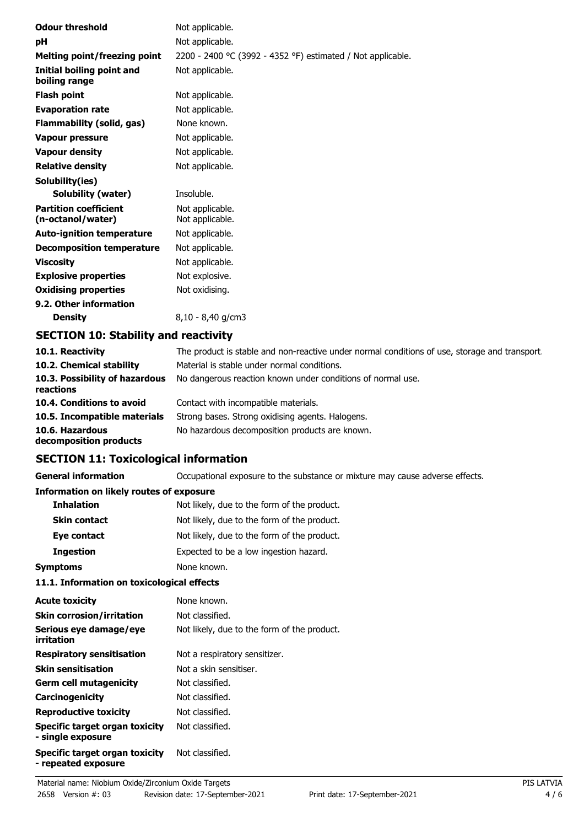| <b>Odour threshold</b>                            | Not applicable.                                             |
|---------------------------------------------------|-------------------------------------------------------------|
| рH                                                | Not applicable.                                             |
| Melting point/freezing point                      | 2200 - 2400 °C (3992 - 4352 °F) estimated / Not applicable. |
| Initial boiling point and<br>boiling range        | Not applicable.                                             |
| <b>Flash point</b>                                | Not applicable.                                             |
| <b>Evaporation rate</b>                           | Not applicable.                                             |
| Flammability (solid, gas)                         | None known.                                                 |
| <b>Vapour pressure</b>                            | Not applicable.                                             |
| <b>Vapour density</b>                             | Not applicable.                                             |
| <b>Relative density</b>                           | Not applicable.                                             |
| Solubility(ies)                                   |                                                             |
| Solubility (water)                                | Insoluble.                                                  |
| <b>Partition coefficient</b><br>(n-octanol/water) | Not applicable.<br>Not applicable.                          |
| <b>Auto-ignition temperature</b>                  | Not applicable.                                             |
| <b>Decomposition temperature</b>                  | Not applicable.                                             |
| <b>Viscosity</b>                                  | Not applicable.                                             |
| <b>Explosive properties</b>                       | Not explosive.                                              |
| <b>Oxidising properties</b>                       | Not oxidising.                                              |
| 9.2. Other information                            |                                                             |
| <b>Density</b>                                    | 8,10 - 8,40 g/cm3                                           |
| SPATTAN JA, AL, L'III, , J. ,                     |                                                             |

# **SECTION 10: Stability and reactivity**

| 10.1. Reactivity                            | The product is stable and non-reactive under normal conditions of use, storage and transport. |
|---------------------------------------------|-----------------------------------------------------------------------------------------------|
| 10.2. Chemical stability                    | Material is stable under normal conditions.                                                   |
| 10.3. Possibility of hazardous<br>reactions | No dangerous reaction known under conditions of normal use.                                   |
| 10.4. Conditions to avoid                   | Contact with incompatible materials.                                                          |
| 10.5. Incompatible materials                | Strong bases. Strong oxidising agents. Halogens.                                              |
| 10.6. Hazardous<br>decomposition products   | No hazardous decomposition products are known.                                                |

# **SECTION 11: Toxicological information**

**General information CCCUPATION** Occupational exposure to the substance or mixture may cause adverse effects.

#### **Information on likely routes of exposure**

| <b>Inhalation</b>   | Not likely, due to the form of the product. |
|---------------------|---------------------------------------------|
| <b>Skin contact</b> | Not likely, due to the form of the product. |
| Eye contact         | Not likely, due to the form of the product. |
| <b>Ingestion</b>    | Expected to be a low ingestion hazard.      |
| <b>Symptoms</b>     | None known.                                 |

### **11.1. Information on toxicological effects**

| <b>Acute toxicity</b>                                 | None known.                                 |
|-------------------------------------------------------|---------------------------------------------|
| <b>Skin corrosion/irritation</b>                      | Not classified.                             |
| Serious eye damage/eye<br>irritation                  | Not likely, due to the form of the product. |
| <b>Respiratory sensitisation</b>                      | Not a respiratory sensitizer.               |
| <b>Skin sensitisation</b>                             | Not a skin sensitiser.                      |
| <b>Germ cell mutagenicity</b>                         | Not classified.                             |
| Carcinogenicity                                       | Not classified.                             |
| <b>Reproductive toxicity</b>                          | Not classified.                             |
| Specific target organ toxicity<br>- single exposure   | Not classified.                             |
| Specific target organ toxicity<br>- repeated exposure | Not classified.                             |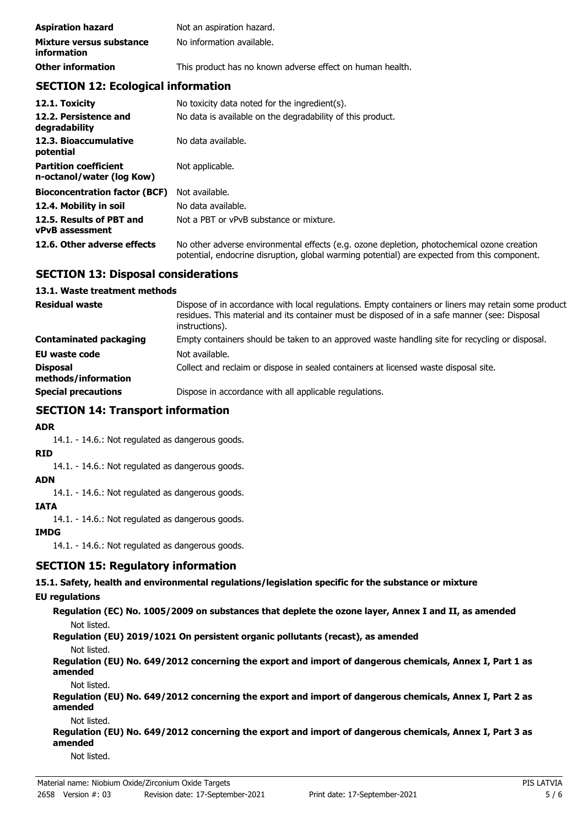| <b>Aspiration hazard</b>                       | Not an aspiration hazard.                                 |
|------------------------------------------------|-----------------------------------------------------------|
| Mixture versus substance<br><i>information</i> | No information available.                                 |
| <b>Other information</b>                       | This product has no known adverse effect on human health. |

# **SECTION 12: Ecological information**

| 12.1. Toxicity                                            | No toxicity data noted for the ingredient(s).                                                                                                                                              |
|-----------------------------------------------------------|--------------------------------------------------------------------------------------------------------------------------------------------------------------------------------------------|
| 12.2. Persistence and<br>degradability                    | No data is available on the degradability of this product.                                                                                                                                 |
| 12.3. Bioaccumulative<br>potential                        | No data available.                                                                                                                                                                         |
| <b>Partition coefficient</b><br>n-octanol/water (log Kow) | Not applicable.                                                                                                                                                                            |
| <b>Bioconcentration factor (BCF)</b>                      | Not available.                                                                                                                                                                             |
| 12.4. Mobility in soil                                    | No data available.                                                                                                                                                                         |
| 12.5. Results of PBT and<br><b>vPvB</b> assessment        | Not a PBT or vPvB substance or mixture.                                                                                                                                                    |
| 12.6. Other adverse effects                               | No other adverse environmental effects (e.g. ozone depletion, photochemical ozone creation<br>potential, endocrine disruption, global warming potential) are expected from this component. |

### **SECTION 13: Disposal considerations**

#### **13.1. Waste treatment methods**

| <b>Residual waste</b>                  | Dispose of in accordance with local regulations. Empty containers or liners may retain some product<br>residues. This material and its container must be disposed of in a safe manner (see: Disposal<br>instructions). |
|----------------------------------------|------------------------------------------------------------------------------------------------------------------------------------------------------------------------------------------------------------------------|
| Contaminated packaging                 | Empty containers should be taken to an approved waste handling site for recycling or disposal.                                                                                                                         |
| <b>EU waste code</b>                   | Not available.                                                                                                                                                                                                         |
| <b>Disposal</b><br>methods/information | Collect and reclaim or dispose in sealed containers at licensed waste disposal site.                                                                                                                                   |
| <b>Special precautions</b>             | Dispose in accordance with all applicable regulations.                                                                                                                                                                 |

# **SECTION 14: Transport information**

### **ADR**

14.1. - 14.6.: Not regulated as dangerous goods.

### **RID**

14.1. - 14.6.: Not regulated as dangerous goods.

# **ADN**

14.1. - 14.6.: Not regulated as dangerous goods.

#### **IATA**

14.1. - 14.6.: Not regulated as dangerous goods.

### **IMDG**

14.1. - 14.6.: Not regulated as dangerous goods.

### **SECTION 15: Regulatory information**

**15.1. Safety, health and environmental regulations/legislation specific for the substance or mixture**

### **EU regulations**

**Regulation (EC) No. 1005/2009 on substances that deplete the ozone layer, Annex I and II, as amended** Not listed.

**Regulation (EU) 2019/1021 On persistent organic pollutants (recast), as amended**

#### Not listed.

**Regulation (EU) No. 649/2012 concerning the export and import of dangerous chemicals, Annex I, Part 1 as amended**

Not listed.

**Regulation (EU) No. 649/2012 concerning the export and import of dangerous chemicals, Annex I, Part 2 as amended**

#### Not listed.

**Regulation (EU) No. 649/2012 concerning the export and import of dangerous chemicals, Annex I, Part 3 as amended**

Not listed.